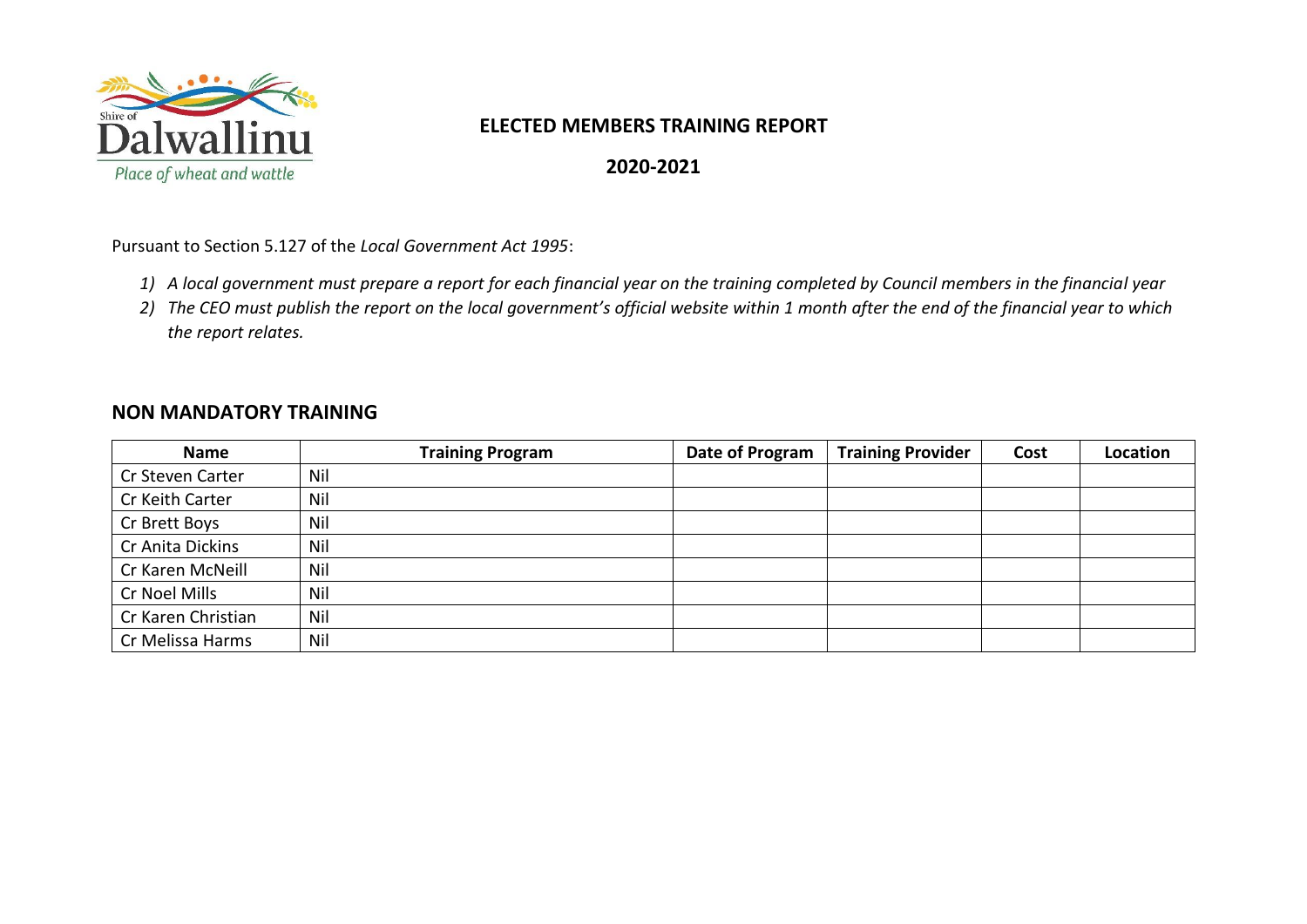

## **ELECTED MEMBERS TRAINING REPORT**

**2020-2021**

Pursuant to Section 5.127 of the *Local Government Act 1995*:

- *1) A local government must prepare a report for each financial year on the training completed by Council members in the financial year*
- *2) The CEO must publish the report on the local government's official website within 1 month after the end of the financial year to which the report relates.*

## **NON MANDATORY TRAINING**

| <b>Name</b>        | <b>Training Program</b> | Date of Program | <b>Training Provider</b> | Cost | Location |
|--------------------|-------------------------|-----------------|--------------------------|------|----------|
| Cr Steven Carter   | Nil                     |                 |                          |      |          |
| Cr Keith Carter    | Nil                     |                 |                          |      |          |
| Cr Brett Boys      | Nil                     |                 |                          |      |          |
| Cr Anita Dickins   | Nil                     |                 |                          |      |          |
| Cr Karen McNeill   | Nil                     |                 |                          |      |          |
| Cr Noel Mills      | Nil                     |                 |                          |      |          |
| Cr Karen Christian | Nil                     |                 |                          |      |          |
| Cr Melissa Harms   | Nil                     |                 |                          |      |          |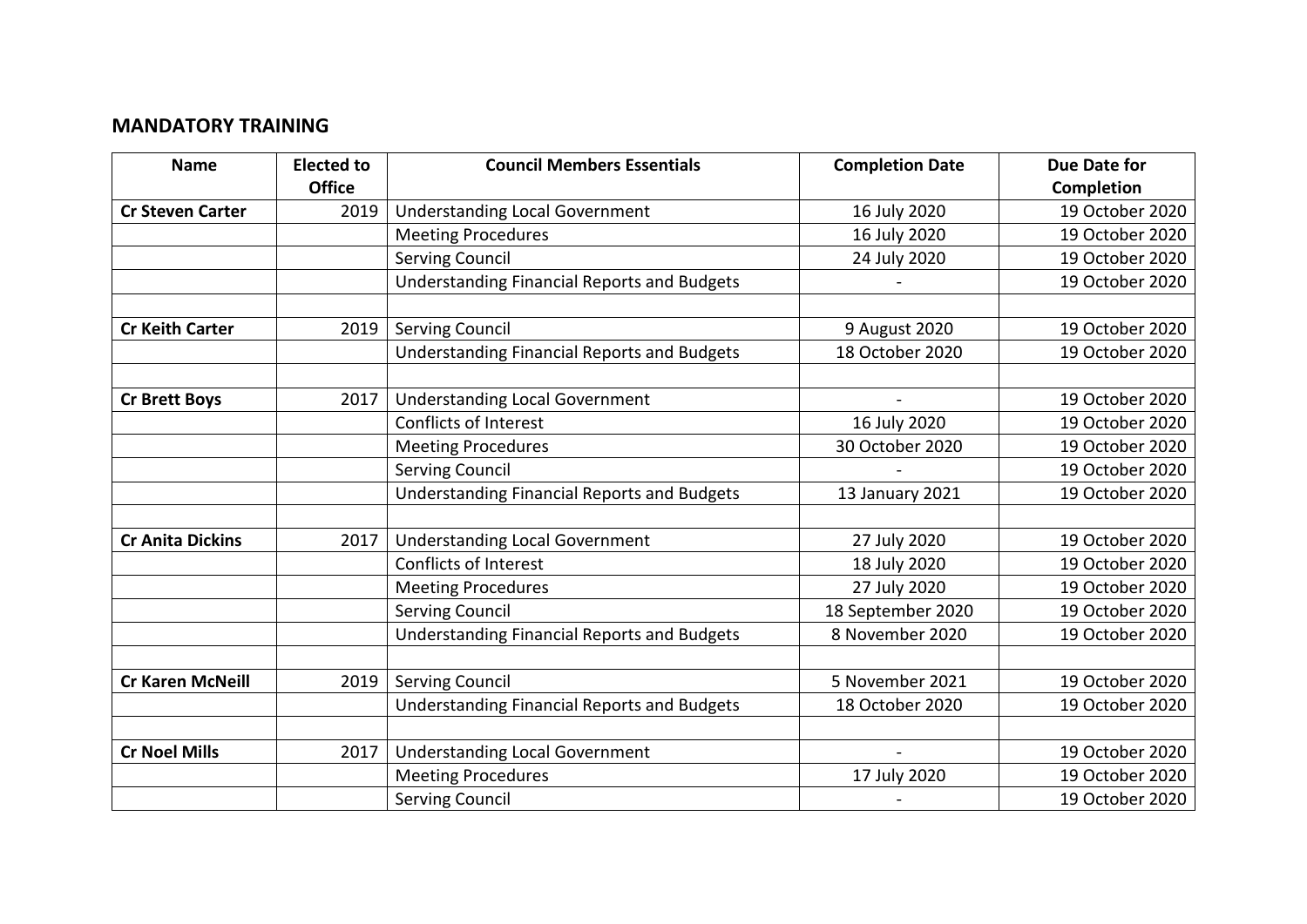## **MANDATORY TRAINING**

| <b>Name</b>             | <b>Elected to</b> | <b>Council Members Essentials</b>                  | <b>Completion Date</b> | <b>Due Date for</b> |
|-------------------------|-------------------|----------------------------------------------------|------------------------|---------------------|
|                         | <b>Office</b>     |                                                    |                        | Completion          |
| <b>Cr Steven Carter</b> | 2019              | <b>Understanding Local Government</b>              | 16 July 2020           | 19 October 2020     |
|                         |                   | <b>Meeting Procedures</b>                          | 16 July 2020           | 19 October 2020     |
|                         |                   | Serving Council                                    | 24 July 2020           | 19 October 2020     |
|                         |                   | <b>Understanding Financial Reports and Budgets</b> |                        | 19 October 2020     |
|                         |                   |                                                    |                        |                     |
| <b>Cr Keith Carter</b>  | 2019              | <b>Serving Council</b>                             | 9 August 2020          | 19 October 2020     |
|                         |                   | <b>Understanding Financial Reports and Budgets</b> | 18 October 2020        | 19 October 2020     |
|                         |                   |                                                    |                        |                     |
| <b>Cr Brett Boys</b>    | 2017              | <b>Understanding Local Government</b>              |                        | 19 October 2020     |
|                         |                   | <b>Conflicts of Interest</b>                       | 16 July 2020           | 19 October 2020     |
|                         |                   | <b>Meeting Procedures</b>                          | 30 October 2020        | 19 October 2020     |
|                         |                   | <b>Serving Council</b>                             |                        | 19 October 2020     |
|                         |                   | <b>Understanding Financial Reports and Budgets</b> | 13 January 2021        | 19 October 2020     |
|                         |                   |                                                    |                        |                     |
| <b>Cr Anita Dickins</b> | 2017              | <b>Understanding Local Government</b>              | 27 July 2020           | 19 October 2020     |
|                         |                   | <b>Conflicts of Interest</b>                       | 18 July 2020           | 19 October 2020     |
|                         |                   | <b>Meeting Procedures</b>                          | 27 July 2020           | 19 October 2020     |
|                         |                   | <b>Serving Council</b>                             | 18 September 2020      | 19 October 2020     |
|                         |                   | <b>Understanding Financial Reports and Budgets</b> | 8 November 2020        | 19 October 2020     |
|                         |                   |                                                    |                        |                     |
| <b>Cr Karen McNeill</b> | 2019              | <b>Serving Council</b>                             | 5 November 2021        | 19 October 2020     |
|                         |                   | <b>Understanding Financial Reports and Budgets</b> | 18 October 2020        | 19 October 2020     |
|                         |                   |                                                    |                        |                     |
| <b>Cr Noel Mills</b>    | 2017              | <b>Understanding Local Government</b>              |                        | 19 October 2020     |
|                         |                   | <b>Meeting Procedures</b>                          | 17 July 2020           | 19 October 2020     |
|                         |                   | <b>Serving Council</b>                             |                        | 19 October 2020     |